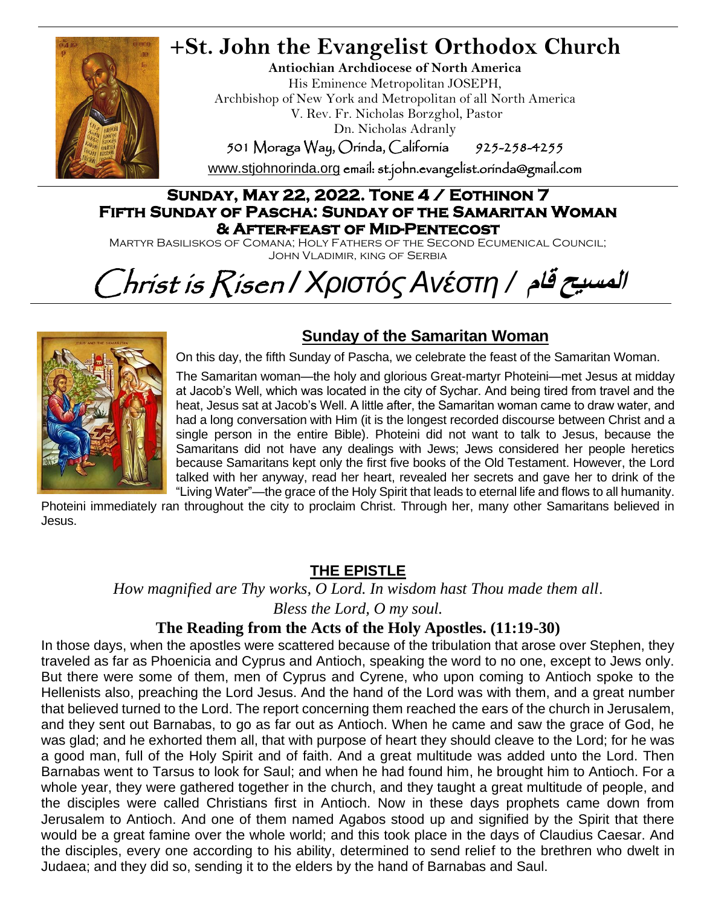

# **+St. John the Evangelist Orthodox Church**

**Antiochian Archdiocese of North America** His Eminence Metropolitan JOSEPH, Archbishop of New York and Metropolitan of all North America V. Rev. Fr. Nicholas Borzghol, Pastor Dn. Nicholas Adranly

501 Moraga Way, Orinda, California 925-258-4255

[www.stjohnorinda.org](http://www.stjohnorinda.org/) email: st.john.evangelist.orinda@gmail.com

#### **Sunday, May 22, 2022. Tone 4 / Eothinon 7 Fifth Sunday of Pascha: Sunday of the Samaritan Woman & After-feast of Mid-Pentecost**

Martyr Basiliskos of Comana; Holy Fathers of the Second Ecumenical Council; John Vladimir, king of Serbia

# Christ is Risen */ ΧριστόςΑνέστη /* **قام المسيح**



### **Sunday of the Samaritan Woman**

On this day, the fifth Sunday of Pascha, we celebrate the feast of the Samaritan Woman.

The Samaritan woman—the holy and glorious Great-martyr Photeini—met Jesus at midday at Jacob's Well, which was located in the city of Sychar. And being tired from travel and the heat, Jesus sat at Jacob's Well. A little after, the Samaritan woman came to draw water, and had a long conversation with Him (it is the longest recorded discourse between Christ and a single person in the entire Bible). Photeini did not want to talk to Jesus, because the Samaritans did not have any dealings with Jews; Jews considered her people heretics because Samaritans kept only the first five books of the Old Testament. However, the Lord talked with her anyway, read her heart, revealed her secrets and gave her to drink of the "Living Water"—the grace of the Holy Spirit that leads to eternal life and flows to all humanity.

Photeini immediately ran throughout the city to proclaim Christ. Through her, many other Samaritans believed in Jesus.

### **THE EPISTLE**

*How magnified are Thy works, O Lord. In wisdom hast Thou made them all*. *Bless the Lord, O my soul.*

### **The Reading from the Acts of the Holy Apostles. (11:19-30)**

In those days, when the apostles were scattered because of the tribulation that arose over Stephen, they traveled as far as Phoenicia and Cyprus and Antioch, speaking the word to no one, except to Jews only. But there were some of them, men of Cyprus and Cyrene, who upon coming to Antioch spoke to the Hellenists also, preaching the Lord Jesus. And the hand of the Lord was with them, and a great number that believed turned to the Lord. The report concerning them reached the ears of the church in Jerusalem, and they sent out Barnabas, to go as far out as Antioch. When he came and saw the grace of God, he was glad; and he exhorted them all, that with purpose of heart they should cleave to the Lord; for he was a good man, full of the Holy Spirit and of faith. And a great multitude was added unto the Lord. Then Barnabas went to Tarsus to look for Saul; and when he had found him, he brought him to Antioch. For a whole year, they were gathered together in the church, and they taught a great multitude of people, and the disciples were called Christians first in Antioch. Now in these days prophets came down from Jerusalem to Antioch. And one of them named Agabos stood up and signified by the Spirit that there would be a great famine over the whole world; and this took place in the days of Claudius Caesar. And the disciples, every one according to his ability, determined to send relief to the brethren who dwelt in Judaea; and they did so, sending it to the elders by the hand of Barnabas and Saul.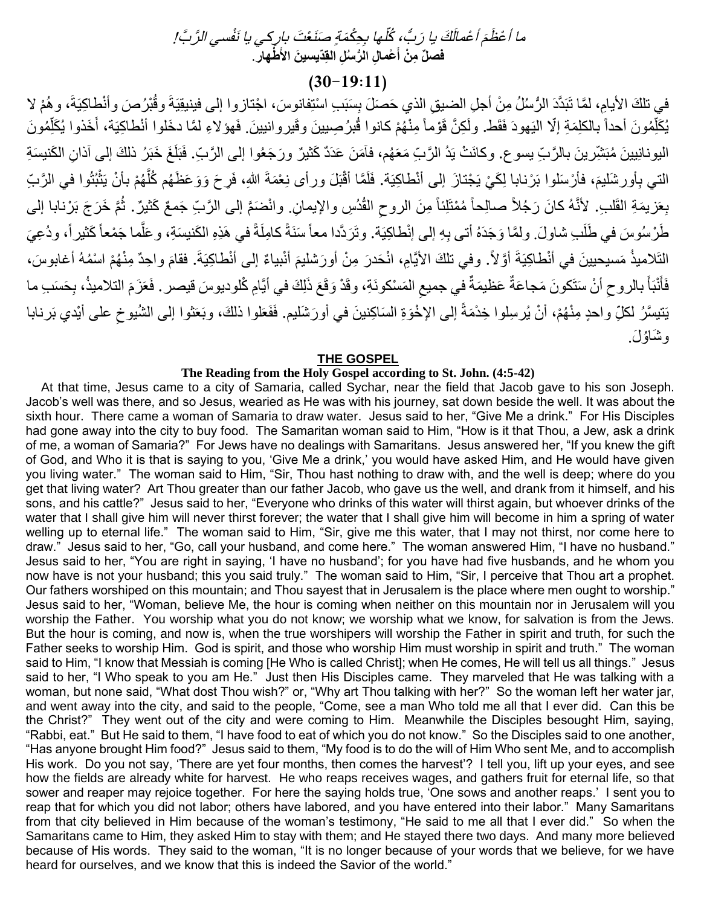#### ثَلِّها بِجِكْمَةٍ صَنَعْتَ ب، ُكل ُّمَ أَعْمالَكَ يا رَبُّ ما أعْظَمَ أعْمالَكَ يا رَبُّ، ݣْلَها بِحِكْمَةٍ صَنَعْتَ بارِكي يا نَفْسي الرَّبَّ! فصلٌ مِنْ أَعْمالِ الرُّسُلِ القِدّيسينَ الأَطْهارِ . **َ**

### $(30-19:11)$

في تلكَ الأيامِ، لمَّا تَبَدَّدَ الرُّسْلُ مِنْ أجلِ الضيقِ الذي حَصَلَ بِسَبَبِ اسْتِفانوسَ، اجْتازوا إلى فينيقِيَةَ وقُبْرُصَ وأنْطاكِيَةَ، وهُمْ لا يُكَلِّمُونَ أحداً بالكلِمَةِ إلَّا اليَهودَ فَقَط. ولَكِنَّ قَوْماً مِنْهُمْ كانوا قُبرُصِيينَ وقَيروانيينَ. فَهؤلاءِ لمَّا دخَلوا أنْطاكِيَة، أَخَذوا يُكَلِّمُونَ ا َ اليونانِيينَ مُبَثَّنِّر ينَ بالرَّبِّ يسوع. وكانَتْ يَدُ الرَّبِّ مَعَهُم، فآمَنَ عَدَدٌ كَثَيْرٌ ورَجَعُوا إلى الرَّبِّ. فَبَلَغَ خَبَرُ ذلكَ إلى آذانِ الكَنيسَةِ الْتي بِأُورشَلْيمَ، فأرْسَلُوا بَرْنابا لِكَيْ يَجْتازَ إلى أنْطاكِيَة. فَلَمَّا أَقْبَلَ ورأى نِعْمَةَ اللهِ، فَرحَ وَوَعَظَهُم كُلَّهُمْ بِأَنْ يَثْبُثُوا في الرَّبَ ֦֧֟֟֟֟֟֟֟֟֟֟֟֟֟֟֟֟֟֟֟֟֟֟֟֟֟֟֟֟֟֟֟֟֟ َّ بِعَزيمَةِ القَلْبِ. لأنَّهُ كانَ رَجُلاً صالِحاً مُمْتَلِئاً مِنَ الروحِ القُدُسِ والإيمانِ. وانْضَمَّ إلى الرَّبِّ جَمعٌ كَثيرٌ. ثُمَّ خَرَجَ بَرْنابا إلى طَرْسُوسَ في طَلَبِ شاولَ. ولمَّا وَجَدَهُ أتى بِهِ إلى إنْطاكِيَة. وتَرَدَّدا معاً سَنَةً كامِلَةً في هَذِهِ الكَنبِسَةِ، وعَلَّما جَمْعاً كَثيراً، ودُعِيَ َّ التَلاميذُ مَسيحيينَ في أنْطاكِيَةَ أوَّلاً. وفي تلكَ الأيَّامِ، انْحَدرَ مِنْ أورَشليمَ أنْبياءٌ إلى أنْطاكِيَةَ. فقامَ واحِدٌ مِنْهُمْ اسْمُهُ أغابوسَ، فَأَنْبَأَ بالروحِ أنْ سَتَكونَ مَجاعَةٌ عَظيمَةٌ في جميعِ المَسْكونَةِ، وقَدْ وَقَعَ ذَلِكَ في أيَّامِ كُلوديوسَ قيصر . فَعَزَمَ التلاميذُ، بِحَسَبِ ما ِ َ َ َ يَتيسَّرُ لكلِّ واحدٍ مِنْهُمْ، أنْ يُرسِلوا خِدْمَةً إلى الإخْوَةِ السَاكِنينَ في أورَشَليم. فَفَعَلوا ذلكَ، وبَعَثوا إلى الشُيوخِ على أيْدي بَرنابا وشَاؤُلَ.

#### **THE GOSPEL**

#### **The Reading from the Holy Gospel according to St. John. (4:5-42)**

At that time, Jesus came to a city of Samaria, called Sychar, near the field that Jacob gave to his son Joseph. Jacob's well was there, and so Jesus, wearied as He was with his journey, sat down beside the well. It was about the sixth hour. There came a woman of Samaria to draw water. Jesus said to her, "Give Me a drink." For His Disciples had gone away into the city to buy food. The Samaritan woman said to Him, "How is it that Thou, a Jew, ask a drink of me, a woman of Samaria?" For Jews have no dealings with Samaritans. Jesus answered her, "If you knew the gift of God, and Who it is that is saying to you, 'Give Me a drink,' you would have asked Him, and He would have given you living water." The woman said to Him, "Sir, Thou hast nothing to draw with, and the well is deep; where do you get that living water? Art Thou greater than our father Jacob, who gave us the well, and drank from it himself, and his sons, and his cattle?" Jesus said to her, "Everyone who drinks of this water will thirst again, but whoever drinks of the water that I shall give him will never thirst forever; the water that I shall give him will become in him a spring of water welling up to eternal life." The woman said to Him, "Sir, give me this water, that I may not thirst, nor come here to draw." Jesus said to her, "Go, call your husband, and come here." The woman answered Him, "I have no husband." Jesus said to her, "You are right in saying, 'I have no husband'; for you have had five husbands, and he whom you now have is not your husband; this you said truly." The woman said to Him, "Sir, I perceive that Thou art a prophet. Our fathers worshiped on this mountain; and Thou sayest that in Jerusalem is the place where men ought to worship." Jesus said to her, "Woman, believe Me, the hour is coming when neither on this mountain nor in Jerusalem will you worship the Father. You worship what you do not know; we worship what we know, for salvation is from the Jews. But the hour is coming, and now is, when the true worshipers will worship the Father in spirit and truth, for such the Father seeks to worship Him. God is spirit, and those who worship Him must worship in spirit and truth." The woman said to Him, "I know that Messiah is coming [He Who is called Christ]; when He comes, He will tell us all things." Jesus said to her, "I Who speak to you am He." Just then His Disciples came. They marveled that He was talking with a woman, but none said, "What dost Thou wish?" or, "Why art Thou talking with her?" So the woman left her water jar, and went away into the city, and said to the people, "Come, see a man Who told me all that I ever did. Can this be the Christ?" They went out of the city and were coming to Him. Meanwhile the Disciples besought Him, saying, "Rabbi, eat." But He said to them, "I have food to eat of which you do not know." So the Disciples said to one another, "Has anyone brought Him food?" Jesus said to them, "My food is to do the will of Him Who sent Me, and to accomplish His work. Do you not say, 'There are yet four months, then comes the harvest'? I tell you, lift up your eyes, and see how the fields are already white for harvest. He who reaps receives wages, and gathers fruit for eternal life, so that sower and reaper may rejoice together. For here the saying holds true, 'One sows and another reaps.' I sent you to reap that for which you did not labor; others have labored, and you have entered into their labor." Many Samaritans from that city believed in Him because of the woman's testimony, "He said to me all that I ever did." So when the Samaritans came to Him, they asked Him to stay with them; and He stayed there two days. And many more believed because of His words. They said to the woman, "It is no longer because of your words that we believe, for we have heard for ourselves, and we know that this is indeed the Savior of the world."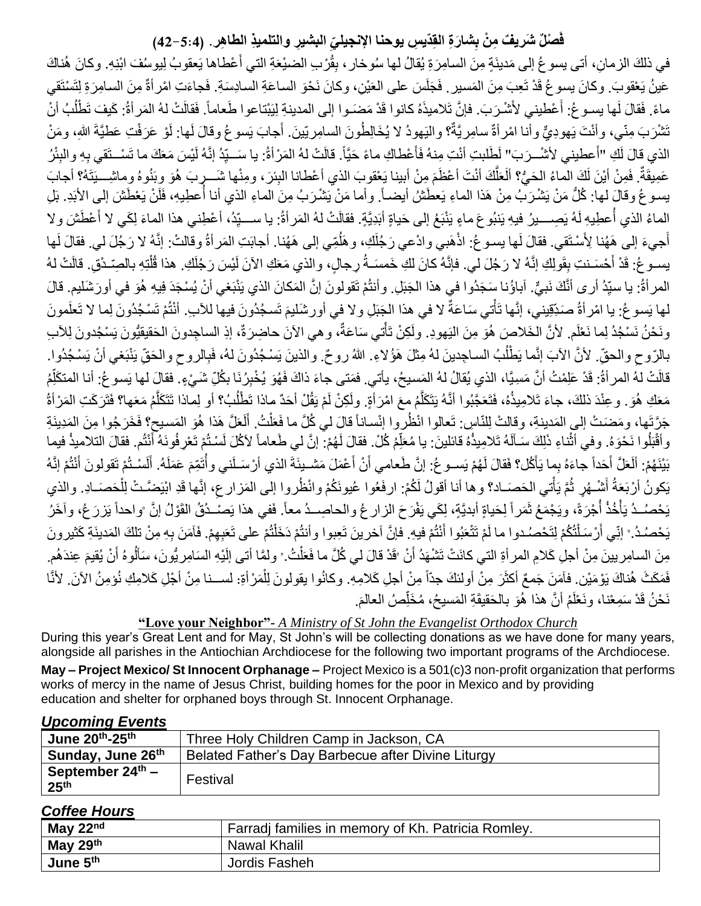### فَصلْلٌ شَريفٌ مِنْ بِشارَةِ القِدّيسِ يوحنا الإنجيليِّ البشيرِ والتلميذِ الطاهِر. (5:4–42)

َ في ذلكَ الزمانِ، أتى يسو عُ إلى مَدينَةٍ مِنَ السامِرَةِ يُقالُ لها سُوخار ، بِقُرْبِ الضيْعَةِ التي أَعْطاها يَعقوبُ لِيوسُفَ ابْنِهِ. وكانَ هُناكَ عَينُ يَعْقوبَ. وكانَ يسوغُ قَدْ تَعِبَ مِنَ المَسيرِ ـ فَجَلَسَ على العَيْنِ، وكانَ نَحْوَ الساعَةِ السادِسَةِ. فَجاءَتِ امْر أةٌ مِنَ السامِرَةِ لِتَسْتَقي ماءً. فَقالَ لَها يسـو غُ: أَعْطيني لأَشْـرَبَ. فإنَّ تَلاميذَهُ كانوا قَدْ مَضَـوا إلى المدينةِ لِيَبْتاعوا طَعاماً. فَقالَتْ لهُ المَراةُ: كَيفَ تَطْلُبُ أَنْ َ ُ نَشْرَبَ مِنّي، وأنْتَ يَهودِيٌّ وأنا امْرأةٌ سامِريَّةٌ؟ واليَهودُ لا يُخَالِطُونَ السامِريّينَ. أَجابَ يَسوعُ وقالَ لَها: لَوْ عَرَفْتِ عَطيَّةَ اللهِ، ومَنْ َ الذي قالَ لَكِ "أَعطيني لأَشْــرَبَ" لَطَلبتِ أنْتِ مِنهُ فَأَعْطاكِ ماءً حَيَّاً. قالَتْ لهُ المَرْأةُ: يا سَــيِّدُ إنَّهُ لَيْسَ مَعَكَ ما تَسْــتَقي بِهِ والبِئْرُ َ عَمِيقَةٌ. فَمِنْ أَيْنَ لَكَ الماءُ الحَيُّ؟ العَلَّكَ أنْتَ أعْظَمَ مِنْ أبينا يَعْقوبَ الذي أعْطانا البِئرَ، ومِنْها شَـــرٍبَ هُوَ وبَنُوهُ وماشِـــيتَهُ؟ أجابَ َ َّ يسوعُ وقالَ لمها: كُلُّ مَنْ يَشْرَبُ مِنْ هَذا الماءِ يَعطَشُ أيضـاً. وأما مَنْ يَشْرَبُ مِنَ الماءِ الذي أنا أُعطِيهِ، فَلَنْ يَعْطَشَ إلى الأبَدِ. بَلِ الماءُ الذي أُعطِيهِ لَهُ يَصِـــيرُ فيهِ يَنبُوعَ ماءٍ يَنْبَعُ إلى حَياةٍ أبَدِيَّةٍ. فقالَتْ لهُ المَراةُ: يا ســـيِّدُ، أعْطِني هذا الماءَ لِكَي لا أَعْطَشَ ولا َ أجيءَ إلى هَهُنا لِأَسْتَقي. فقالَ لَها بِسوغ: اذْهَبي وادْعي رَجُلَكِ، وهَلُمِّي إلى هَهُنا. أجابَتِ المَر أةُ وقالتْ: إنَّهُ لا رَجُلَ لي. فقالَ لَها اُ يســو عُ: قَدْ أَحْسَـنتِ بِقَولِكِ إنَّهُ لا رَجُلَ لي. فإنَّهُ كانَ لكِ خَمسَــةُ رِجالٍ، والذي مَعَكِ الآنَ لَيْسَ رَجُلَكِ. هذا قُلْتِهِ بالصِّـدْقِ. قالَتْ لهُ ْ المر أةُ: يا سبِّدُ أرى أنَّكَ نَبيٌّ. آباؤُنا سَجَدُوا في هذا الْجَبَلِ. وأنثُمْ تَقولونَ إنَّ الْمَكانَ الذي يَنْبَغي أنْ يُسْجَدَ فِيهِ هُوَ في أورَشَليم. قالَ لها يَسوغُ: يا امْر أةُ صَدِّقِيني، إنَّها تَأْتي سَاعَةٌ لا في هذا الْجَبَلِ ولا في أورشَليمَ تَسجُدُونَ فيها للأبِ. أنْتُمْ تَسْجُدُونَ لِما لا تَعلَمونَ و<br>أا َ ونَحْنُ نَسْجُدُ لِما نَعْلَم. لأنَّ الخَلاصَ هُوَ مِنَ اليَهودِ. ولَكِنْ تَأْتي سَاعَةٌ، وهي الآنَ حاضِرَةٌ، إذِ الساجِدونَ الحَقيقيُّونَ يَسْجُدونَ لِلأَب ْ بالرّوحِ والحقِّ. لأنَّ الأبَ إنَّما يَطْلُبُ الساجِدينَ لهُ مِثْلَ هَؤُلاءِ. اللهُ روحٌ. والذينَ يَسْجُدُونَ لهُ، فَبِالروحِ والحَقِّ يَنْبَغي أنْ يَسْجُدُوا. ُ قالَتْ لهُ المر أةُ: قَدْ عَلِمْتُ أنَّ مَسِيَّا، الذي يُقالُ لهُ المَسيحُ، يأتي. فمَتى جاءَ ذاكَ فَهُوَ يُخْبِرُنَا بكُلِّ شَيْءٍ. فقالَ لمها يَسو غ: أنا المتكَلِّمُ ِ ا مَعَكِ هُوَ . وعِنْدَ ذلكَ، جاءَ تَلامِيذُهُ، فَتَعَجَّبُوا أنَّهُ يَتَكَلَّمُ معَ امْرَأَةٍ. ولَكِنْ لَمْ يَقُلْ أحَدٌ ماذا تَطْلُبُ؟ أو لِماذا تَتَكَلَّمُ مَعَها؟ فَتَرَكَتِ المَرْأةُ ُ َّ َّ جَرَّتَها، ومَضَىتْ إلى المَدينةِ، وقالتْ لِلنّاسِ: تَعالوا انْظُروا إِنْساناً قالَ لي كُلَّ ما فَعَلْتُ. أَلَعَلَّ هَذا هُوَ المَسيح؟ فَخَرَجُوا مِنَ المَدِينَةِ َ ْ وأَقْبَلُوا نَحْوَهُ. وفي أثْناءِ ذَلِكَ سَـألَهُ تَلامِيذُهُ قائلينَ: يا مُعَلِّمُ كُلْ. فقالَ لَهُمْ: إنَّ لي طَعاماً لآكُلَ لَسْنُمْ تَعْرِفُونَهُ أَنْتُم. فقالَ التلاميذُ فيما َ ا ْ اُ بَيْنَهُمْ: أَلَعَلَّ أَحَداً جاءَهُ بِما يَأْكُل؟ فَقالَ لَهُمْ يَســو عُ: إنَّ طَعامي أَنْ أَعْمَلَ مَشــيئَةَ الذي أرْسَـلَني وأَتَمِّمَ عَمَلَهُ. أَلَسْـتُمْ تَقولونَ أَنْتُمْ إنَّهُ َ َ َ َ َ لَ َ ءِ<br>م يَكونُ أَرْبَعَةُ أَشْـهُرٍ ثُمَّ يَأْتي الحَصَــاد؟ وها أنا أقولُ لَكُمْ: ارفَعُوا عُيونَكُمْ وانْظُروا إلى المَزارعِ، إنَّها قَدِ ابْيَضَّـتْ لِلْحَصَــادِ. والذي ِ ْ ْ يَحْصُـدُ يَأْخُذُ أُجْرَةً، ويَجْمَعُ ثَمَراً لِحَياةٍ أبديَّةٍ، لِكَي يَفْرَحَ الزارعُ والحاصِــدُ معاً. فَفي هذا يَصـْـدُقُ القَوْلُ إنَّ "واحداً يَزرَعُ، وآخَرُ ِل ا<br>أ يَحْصُدُ." إنِّي أَرْسَلْتُكُمْ لِتَحْصُدوا ما لَمْ تَتْعَبُوا أَنْتُمْ فيهِ. فإنَّ آخرينَ تَعِبوا وأنثُمْ دَخَلْتُمْ على تَعَبِهِمْ. فَآمَنَ بِهِ مِنْ تلكَ المَدينَةِ كَثيرونَ ْ َ ْ َ مِنَ السامِريينَ مِنْ أجلِ كَلامِ المراةِ التي كانَتْ تَشْهَدُ أَنْ "قَدْ قالَ لي كُلَّ ما فَعَلْتُ." ولمَّا أتى إلَيْهِ السَامِريُّونَ، سَأَلُوهُ أَنْ يُقيمَ عِندَهُم. َ ْ َ َ فَمَكَثَ هُناكَ يَوْمَيْن. فآمَنَ جَمعٌ أكثَرَ مِنْ أولئكَ جدّاً مِنْ أجلِ كَلامِهِ. وكانُوا يقولونَ لِلْمَرْأةِ: لســنـا مِنْ أجْلِ كَلامِكِ نُؤمِنُ الأنَ. لأنَّا ْ نَحْنُ قَدْ سَمِعْنـا، ونَعْلَمُ أنَّ هذا هُوَ بـالْحَقيقَةِ الْمَسيحُ، مُخَلِّصُ الْعالَمَ. َ ا

#### **"Love your Neighbor"-** *A Ministry of St John the Evangelist Orthodox Church*

During this year's Great Lent and for May, St John's will be collecting donations as we have done for many years, alongside all parishes in the Antiochian Archdiocese for the following two important programs of the Archdiocese.

**May – Project Mexico/ St Innocent Orphanage –** Project Mexico is a 501(c)3 non-profit organization that performs works of mercy in the name of Jesus Christ, building homes for the poor in Mexico and by providing education and shelter for orphaned boys through St. Innocent Orphanage.

| June 20th-25th                                   | Three Holy Children Camp in Jackson, CA            |
|--------------------------------------------------|----------------------------------------------------|
| ' Sunday, June 26 <sup>th</sup>                  | Belated Father's Day Barbecue after Divine Liturgy |
| September 24 <sup>th</sup> –<br>25 <sup>th</sup> | Festival                                           |

### *Upcoming Events*

#### *Coffee Hours*

| May 22 <sup>nd</sup> | Farradi families in memory of Kh. Patricia Romley. |
|----------------------|----------------------------------------------------|
| May 29th             | Nawal Khalil                                       |
| June 5th             | Jordis Fasheh                                      |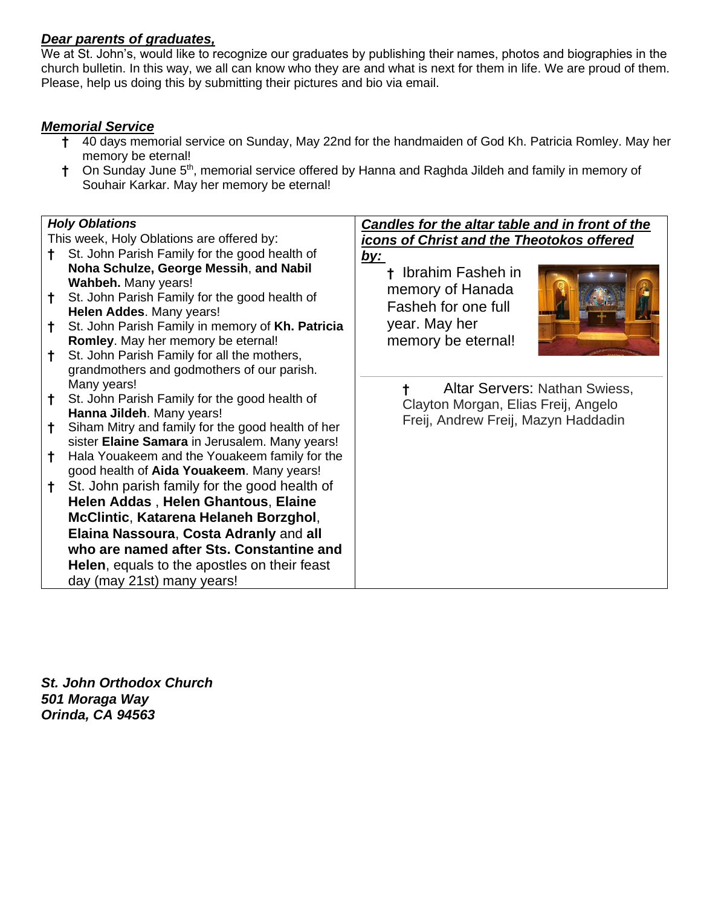#### *Dear parents of graduates,*

We at St. John's, would like to recognize our graduates by publishing their names, photos and biographies in the church bulletin. In this way, we all can know who they are and what is next for them in life. We are proud of them. Please, help us doing this by submitting their pictures and bio via email.

#### *Memorial Service*

- **†** 40 days memorial service on Sunday, May 22nd for the handmaiden of God Kh. Patricia Romley. May her memory be eternal!
- <sup>†</sup> On Sunday June 5<sup>th</sup>, memorial service offered by Hanna and Raghda Jildeh and family in memory of Souhair Karkar. May her memory be eternal!

#### *Holy Oblations* This week, Holy Oblations are offered by: **†** St. John Parish Family for the good health of **Noha Schulze, George Messih**, **and Nabil Wahbeh.** Many years! **†** St. John Parish Family for the good health of **Helen Addes**. Many years! **†** St. John Parish Family in memory of **Kh. Patricia Romley**. May her memory be eternal! **†** St. John Parish Family for all the mothers, grandmothers and godmothers of our parish. Many years! **†** St. John Parish Family for the good health of **Hanna Jildeh**. Many years! **†** Siham Mitry and family for the good health of her sister **Elaine Samara** in Jerusalem. Many years! **†** Hala Youakeem and the Youakeem family for the good health of **Aida Youakeem**. Many years! **†** St. John parish family for the good health of **Helen Addas** , **Helen Ghantous**, **Elaine McClintic**, **Katarena Helaneh Borzghol**, **Elaina Nassoura**, **Costa Adranly** and **all who are named after Sts. Constantine and Helen**, equals to the apostles on their feast day (may 21st) many years! *Candles for the altar table and in front of the icons of Christ and the Theotokos offered by:* **†** Ibrahim Fasheh in memory of Hanada Fasheh for one full year. May her memory be eternal! **†** Altar Servers: Nathan Swiess, Clayton Morgan, Elias Freij, Angelo Freij, Andrew Freij, Mazyn Haddadin

*St. John Orthodox Church 501 Moraga Way Orinda, CA 94563*